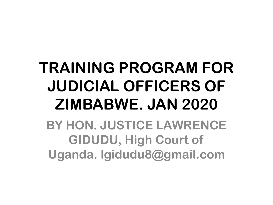#### **TRAINING PROGRAM FOR JUDICIAL OFFICERS OF ZIMBABWE. JAN 2020**

**BY HON. JUSTICE LAWRENCE GIDUDU, High Court of Uganda. lgidudu8@gmail.com**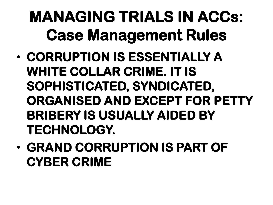#### **MANAGING TRIALS IN ACCs: Case Management Rules**

- **CORRUPTION IS ESSENTIALLY A WHITE COLLAR CRIME. IT IS SOPHISTICATED, SYNDICATED, ORGANISED AND EXCEPT FOR PETTY BRIBERY IS USUALLY AIDED BY TECHNOLOGY.**
- **GRAND CORRUPTION IS PART OF CYBER CRIME**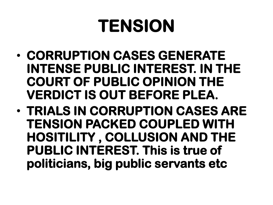#### **TENSION**

- **CORRUPTION CASES GENERATE INTENSE PUBLIC INTEREST. IN THE COURT OF PUBLIC OPINION THE VERDICT IS OUT BEFORE PLEA.**
- **TRIALS IN CORRUPTION CASES ARE TENSION PACKED COUPLED WITH HOSITILITY , COLLUSION AND THE PUBLIC INTEREST. This is true of politicians, big public servants etc**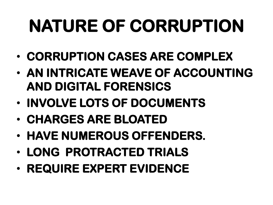# **NATURE OF CORRUPTION**

- **CORRUPTION CASES ARE COMPLEX**
- **AN INTRICATE WEAVE OF ACCOUNTING AND DIGITAL FORENSICS**
- **INVOLVE LOTS OF DOCUMENTS**
- **CHARGES ARE BLOATED**
- **HAVE NUMEROUS OFFENDERS.**
- **LONG PROTRACTED TRIALS**
- **REQUIRE EXPERT EVIDENCE**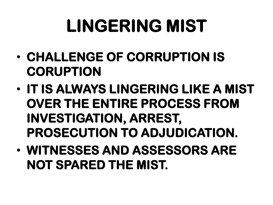# **LINGERING MIST**

- **CHALLENGE OF CORRUPTION IS CORUPTION**
- **IT IS ALWAYS LINGERING LIKE A MIST OVER THE ENTIRE PROCESS FROM INVESTIGATION, ARREST, PROSECUTION TO ADJUDICATION.**
- **WITNESSES AND ASSESSORS ARE NOT SPARED THE MIST.**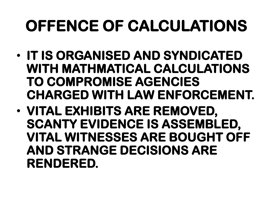#### **OFFENCE OF CALCULATIONS**

- **IT IS ORGANISED AND SYNDICATED WITH MATHMATICAL CALCULATIONS TO COMPROMISE AGENCIES CHARGED WITH LAW ENFORCEMENT.**
- **VITAL EXHIBITS ARE REMOVED, SCANTY EVIDENCE IS ASSEMBLED, VITAL WITNESSES ARE BOUGHT OFF AND STRANGE DECISIONS ARE RENDERED.**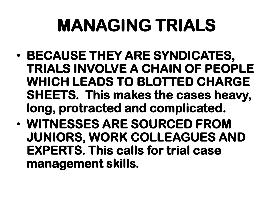# **MANAGING TRIALS**

- **BECAUSE THEY ARE SYNDICATES, TRIALS INVOLVE A CHAIN OF PEOPLE WHICH LEADS TO BLOTTED CHARGE SHEETS. This makes the cases heavy, long, protracted and complicated.**
- **WITNESSES ARE SOURCED FROM JUNIORS, WORK COLLEAGUES AND EXPERTS. This calls for trial case management skills.**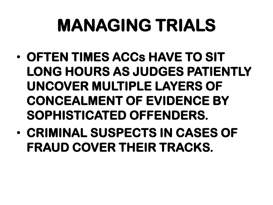### **MANAGING TRIALS**

- **OFTEN TIMES ACCs HAVE TO SIT LONG HOURS AS JUDGES PATIENTLY UNCOVER MULTIPLE LAYERS OF CONCEALMENT OF EVIDENCE BY SOPHISTICATED OFFENDERS.**
- **CRIMINAL SUSPECTS IN CASES OF FRAUD COVER THEIR TRACKS.**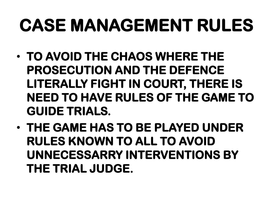- **TO AVOID THE CHAOS WHERE THE PROSECUTION AND THE DEFENCE LITERALLY FIGHT IN COURT, THERE IS NEED TO HAVE RULES OF THE GAME TO GUIDE TRIALS.**
- **THE GAME HAS TO BE PLAYED UNDER RULES KNOWN TO ALL TO AVOID UNNECESSARRY INTERVENTIONS BY THE TRIAL JUDGE.**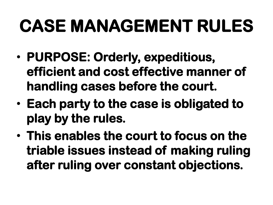- **PURPOSE: Orderly, expeditious, efficient and cost effective manner of handling cases before the court.**
- **Each party to the case is obligated to play by the rules.**
- **This enables the court to focus on the triable issues instead of making ruling after ruling over constant objections.**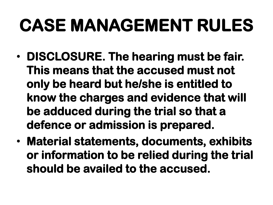- **DISCLOSURE. The hearing must be fair. This means that the accused must not only be heard but he/she is entitled to know the charges and evidence that will be adduced during the trial so that a defence or admission is prepared.**
- **Material statements, documents, exhibits or information to be relied during the trial should be availed to the accused.**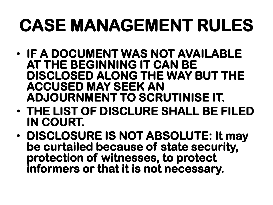- **IF A DOCUMENT WAS NOT AVAILABLE AT THE BEGINNING IT CAN BE DISCLOSED ALONG THE WAY BUT THE ACCUSED MAY SEEK AN ADJOURNMENT TO SCRUTINISE IT.**
- **THE LIST OF DISCLURE SHALL BE FILED IN COURT.**
- **DISCLOSURE IS NOT ABSOLUTE: It may be curtailed because of state security, protection of witnesses, to protect informers or that it is not necessary.**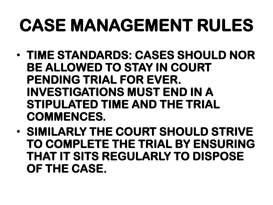- **TIME STANDARDS: CASES SHOULD NOR BE ALLOWED TO STAY IN COURT PENDING TRIAL FOR EVER. INVESTIGATIONS MUST END IN A STIPULATED TIME AND THE TRIAL COMMENCES.**
- **SIMILARLY THE COURT SHOULD STRIVE TO COMPLETE THE TRIAL BY ENSURING THAT IT SITS REGULARLY TO DISPOSE OF THE CASE.**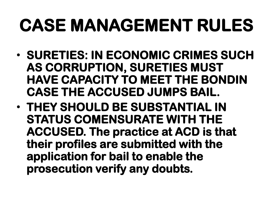- **SURETIES: IN ECONOMIC CRIMES SUCH AS CORRUPTION, SURETIES MUST HAVE CAPACITY TO MEET THE BONDIN CASE THE ACCUSED JUMPS BAIL.**
- **THEY SHOULD BE SUBSTANTIAL IN STATUS COMENSURATE WITH THE ACCUSED. The practice at ACD is that their profiles are submitted with the application for bail to enable the prosecution verify any doubts.**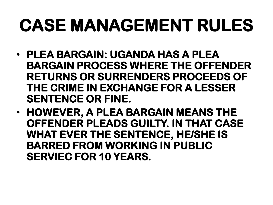- **PLEA BARGAIN: UGANDA HAS A PLEA BARGAIN PROCESS WHERE THE OFFENDER RETURNS OR SURRENDERS PROCEEDS OF THE CRIME IN EXCHANGE FOR A LESSER SENTENCE OR FINE.**
- **HOWEVER, A PLEA BARGAIN MEANS THE OFFENDER PLEADS GUILTY. IN THAT CASE WHAT EVER THE SENTENCE, HE/SHE IS BARRED FROM WORKING IN PUBLIC SERVIEC FOR 10 YEARS.**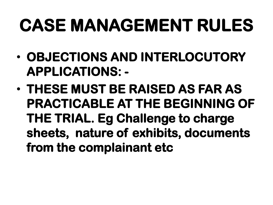- **OBJECTIONS AND INTERLOCUTORY APPLICATIONS: -**
- **THESE MUST BE RAISED AS FAR AS PRACTICABLE AT THE BEGINNING OF THE TRIAL. Eg Challenge to charge sheets, nature of exhibits, documents from the complainant etc**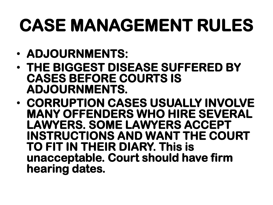- **ADJOURNMENTS:**
- **THE BIGGEST DISEASE SUFFERED BY CASES BEFORE COURTS IS ADJOURNMENTS.**
- **CORRUPTION CASES USUALLY INVOLVE MANY OFFENDERS WHO HIRE SEVERAL LAWYERS. SOME LAWYERS ACCEPT INSTRUCTIONS AND WANT THE COURT TO FIT IN THEIR DIARY. This is unacceptable. Court should have firm hearing dates.**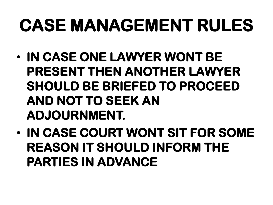- **IN CASE ONE LAWYER WONT BE PRESENT THEN ANOTHER LAWYER SHOULD BE BRIEFED TO PROCEED AND NOT TO SEEK AN ADJOURNMENT.**
- **IN CASE COURT WONT SIT FOR SOME REASON IT SHOULD INFORM THE PARTIES IN ADVANCE**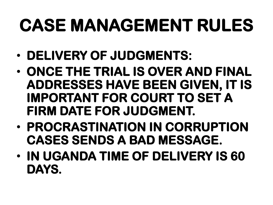- **DELIVERY OF JUDGMENTS:**
- **ONCE THE TRIAL IS OVER AND FINAL ADDRESSES HAVE BEEN GIVEN, IT IS IMPORTANT FOR COURT TO SET A FIRM DATE FOR JUDGMENT.**
- **PROCRASTINATION IN CORRUPTION CASES SENDS A BAD MESSAGE.**
- **IN UGANDA TIME OF DELIVERY IS 60 DAYS.**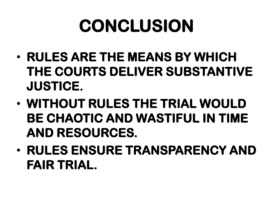# **CONCLUSION**

- **RULES ARE THE MEANS BY WHICH THE COURTS DELIVER SUBSTANTIVE JUSTICE.**
- **WITHOUT RULES THE TRIAL WOULD BE CHAOTIC AND WASTIFUL IN TIME AND RESOURCES.**
- **RULES ENSURE TRANSPARENCY AND FAIR TRIAL.**